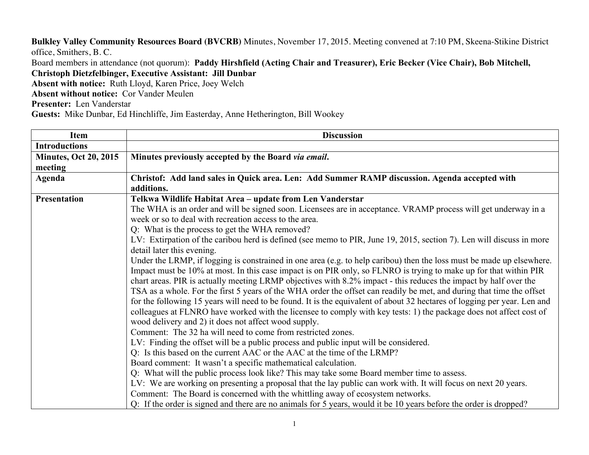**Bulkley Valley Community Resources Board (BVCRB)** Minutes, November 17, 2015. Meeting convened at 7:10 PM, Skeena-Stikine District office, Smithers, B. C.

Board members in attendance (not quorum): **Paddy Hirshfield (Acting Chair and Treasurer), Eric Becker (Vice Chair), Bob Mitchell, Christoph Dietzfelbinger, Executive Assistant: Jill Dunbar**

**Absent with notice:** Ruth Lloyd, Karen Price, Joey Welch

**Absent without notice:** Cor Vander Meulen

**Presenter:** Len Vanderstar

**Guests:** Mike Dunbar, Ed Hinchliffe, Jim Easterday, Anne Hetherington, Bill Wookey

| <b>Item</b>                  | <b>Discussion</b>                                                                                                        |
|------------------------------|--------------------------------------------------------------------------------------------------------------------------|
| <b>Introductions</b>         |                                                                                                                          |
| <b>Minutes, Oct 20, 2015</b> | Minutes previously accepted by the Board via email.                                                                      |
| meeting                      |                                                                                                                          |
| Agenda                       | Christof: Add land sales in Quick area. Len: Add Summer RAMP discussion. Agenda accepted with                            |
|                              | additions.                                                                                                               |
| <b>Presentation</b>          | Telkwa Wildlife Habitat Area - update from Len Vanderstar                                                                |
|                              | The WHA is an order and will be signed soon. Licensees are in acceptance. VRAMP process will get underway in a           |
|                              | week or so to deal with recreation access to the area.                                                                   |
|                              | Q: What is the process to get the WHA removed?                                                                           |
|                              | LV: Extirpation of the caribou herd is defined (see memo to PIR, June 19, 2015, section 7). Len will discuss in more     |
|                              | detail later this evening.                                                                                               |
|                              | Under the LRMP, if logging is constrained in one area (e.g. to help caribou) then the loss must be made up elsewhere.    |
|                              | Impact must be 10% at most. In this case impact is on PIR only, so FLNRO is trying to make up for that within PIR        |
|                              | chart areas. PIR is actually meeting LRMP objectives with 8.2% impact - this reduces the impact by half over the         |
|                              | TSA as a whole. For the first 5 years of the WHA order the offset can readily be met, and during that time the offset    |
|                              | for the following 15 years will need to be found. It is the equivalent of about 32 hectares of logging per year. Len and |
|                              | colleagues at FLNRO have worked with the licensee to comply with key tests: 1) the package does not affect cost of       |
|                              | wood delivery and 2) it does not affect wood supply.                                                                     |
|                              | Comment: The 32 ha will need to come from restricted zones.                                                              |
|                              | LV: Finding the offset will be a public process and public input will be considered.                                     |
|                              | Q: Is this based on the current AAC or the AAC at the time of the LRMP?                                                  |
|                              | Board comment: It wasn't a specific mathematical calculation.                                                            |
|                              | Q: What will the public process look like? This may take some Board member time to assess.                               |
|                              | LV: We are working on presenting a proposal that the lay public can work with. It will focus on next 20 years.           |
|                              | Comment: The Board is concerned with the whittling away of ecosystem networks.                                           |
|                              | Q: If the order is signed and there are no animals for 5 years, would it be 10 years before the order is dropped?        |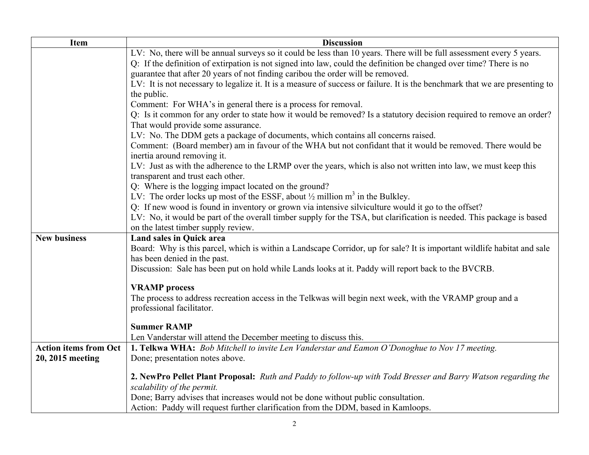| <b>Item</b>                  | <b>Discussion</b>                                                                                                                                     |
|------------------------------|-------------------------------------------------------------------------------------------------------------------------------------------------------|
|                              | LV: No, there will be annual surveys so it could be less than 10 years. There will be full assessment every 5 years.                                  |
|                              | Q: If the definition of extirpation is not signed into law, could the definition be changed over time? There is no                                    |
|                              | guarantee that after 20 years of not finding caribou the order will be removed.                                                                       |
|                              | LV: It is not necessary to legalize it. It is a measure of success or failure. It is the benchmark that we are presenting to                          |
|                              | the public.                                                                                                                                           |
|                              | Comment: For WHA's in general there is a process for removal.                                                                                         |
|                              | Q: Is it common for any order to state how it would be removed? Is a statutory decision required to remove an order?                                  |
|                              | That would provide some assurance.                                                                                                                    |
|                              | LV: No. The DDM gets a package of documents, which contains all concerns raised.                                                                      |
|                              | Comment: (Board member) am in favour of the WHA but not confidant that it would be removed. There would be                                            |
|                              | inertia around removing it.                                                                                                                           |
|                              | LV: Just as with the adherence to the LRMP over the years, which is also not written into law, we must keep this<br>transparent and trust each other. |
|                              | Q: Where is the logging impact located on the ground?                                                                                                 |
|                              | LV: The order locks up most of the ESSF, about $\frac{1}{2}$ million m <sup>3</sup> in the Bulkley.                                                   |
|                              | Q: If new wood is found in inventory or grown via intensive silviculture would it go to the offset?                                                   |
|                              | LV: No, it would be part of the overall timber supply for the TSA, but clarification is needed. This package is based                                 |
|                              | on the latest timber supply review.                                                                                                                   |
| <b>New business</b>          | <b>Land sales in Quick area</b>                                                                                                                       |
|                              | Board: Why is this parcel, which is within a Landscape Corridor, up for sale? It is important wildlife habitat and sale                               |
|                              | has been denied in the past.                                                                                                                          |
|                              | Discussion: Sale has been put on hold while Lands looks at it. Paddy will report back to the BVCRB.                                                   |
|                              |                                                                                                                                                       |
|                              | <b>VRAMP</b> process                                                                                                                                  |
|                              | The process to address recreation access in the Telkwas will begin next week, with the VRAMP group and a                                              |
|                              | professional facilitator.                                                                                                                             |
|                              | <b>Summer RAMP</b>                                                                                                                                    |
|                              | Len Vanderstar will attend the December meeting to discuss this.                                                                                      |
| <b>Action items from Oct</b> | 1. Telkwa WHA: Bob Mitchell to invite Len Vanderstar and Eamon O'Donoghue to Nov 17 meeting.                                                          |
| 20, 2015 meeting             | Done; presentation notes above.                                                                                                                       |
|                              |                                                                                                                                                       |
|                              | 2. NewPro Pellet Plant Proposal: Ruth and Paddy to follow-up with Todd Bresser and Barry Watson regarding the                                         |
|                              | scalability of the permit.                                                                                                                            |
|                              | Done; Barry advises that increases would not be done without public consultation.                                                                     |
|                              | Action: Paddy will request further clarification from the DDM, based in Kamloops.                                                                     |